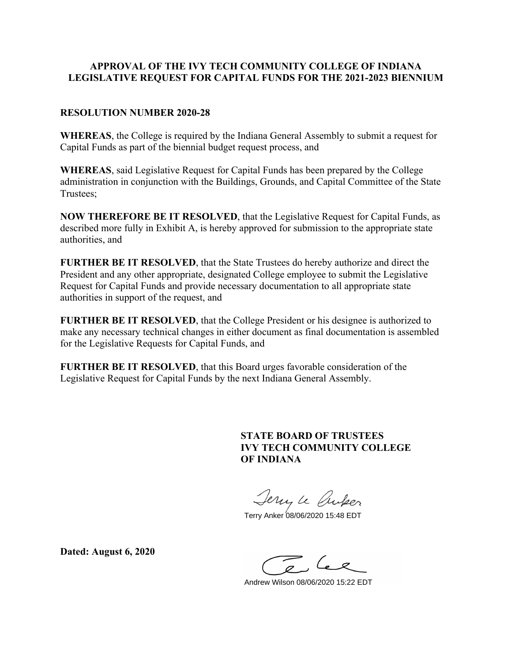### **APPROVAL OF THE IVY TECH COMMUNITY COLLEGE OF INDIANA LEGISLATIVE REQUEST FOR CAPITAL FUNDS FOR THE 2021-2023 BIENNIUM**

#### **RESOLUTION NUMBER 2020-28**

**WHEREAS**, the College is required by the Indiana General Assembly to submit a request for Capital Funds as part of the biennial budget request process, and

**WHEREAS**, said Legislative Request for Capital Funds has been prepared by the College administration in conjunction with the Buildings, Grounds, and Capital Committee of the State Trustees;

**NOW THEREFORE BE IT RESOLVED**, that the Legislative Request for Capital Funds, as described more fully in Exhibit A, is hereby approved for submission to the appropriate state authorities, and

**FURTHER BE IT RESOLVED**, that the State Trustees do hereby authorize and direct the President and any other appropriate, designated College employee to submit the Legislative Request for Capital Funds and provide necessary documentation to all appropriate state authorities in support of the request, and

**FURTHER BE IT RESOLVED**, that the College President or his designee is authorized to make any necessary technical changes in either document as final documentation is assembled for the Legislative Requests for Capital Funds, and

**FURTHER BE IT RESOLVED**, that this Board urges favorable consideration of the Legislative Request for Capital Funds by the next Indiana General Assembly.

### **STATE BOARD OF TRUSTEES IVY TECH COMMUNITY COLLEGE OF INDIANA**

Jerry le Croper

Terry Anker 08/06/2020 15:48 EDT

**Dated: August 6, 2020**

Andrew Wilson 08/06/2020 15:22 EDT